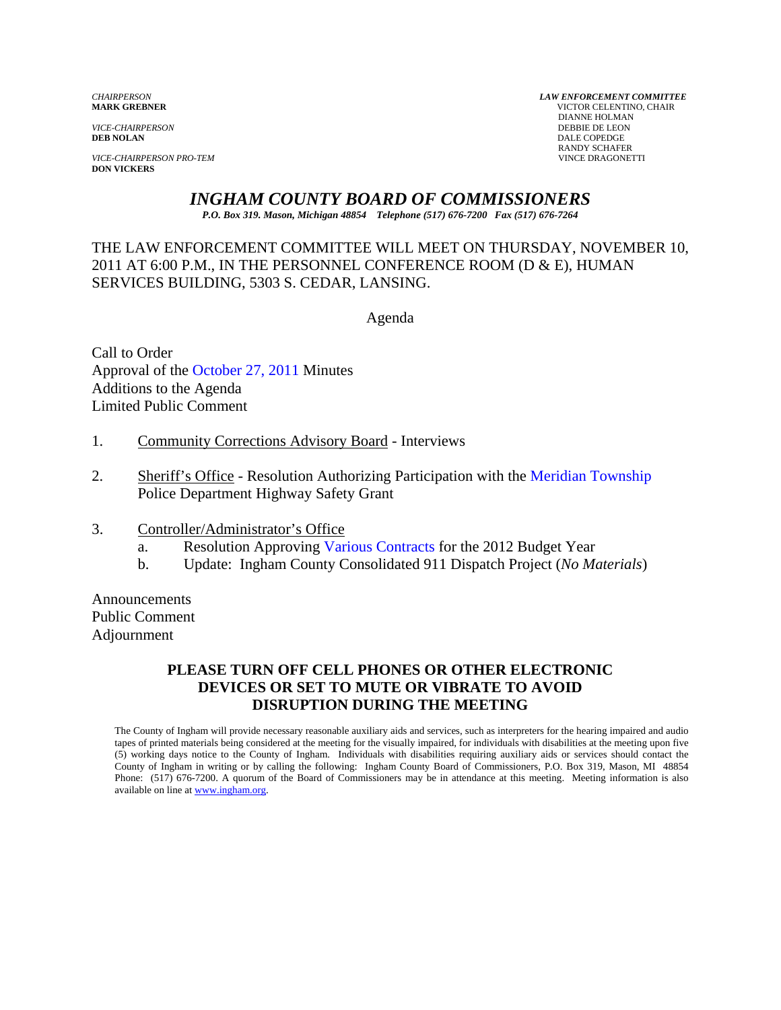*VICE-CHAIRPERSON*<br>**DEB NOLAN** 

*VICE-CHAIRPERSON PRO-TEM* VINCE DRAGONETTI **DON VICKERS** 

*CHAIRPERSON LAW ENFORCEMENT COMMITTEE* **MARK GREBNER** VICTOR CELENTINO, CHAIR **DIANNE HOLMAN<br>DEBBIE DE LEON DALE COPEDGE** RANDY SCHAFER

## *INGHAM COUNTY BOARD OF COMMISSIONERS*

*P.O. Box 319. Mason, Michigan 48854 Telephone (517) 676-7200 Fax (517) 676-7264*

THE LAW ENFORCEMENT COMMITTEE WILL MEET ON THURSDAY, NOVEMBER 10, 2011 AT 6:00 P.M., IN THE PERSONNEL CONFERENCE ROOM (D & E), HUMAN SERVICES BUILDING, 5303 S. CEDAR, LANSING.

Agenda

Call to Order Approval of [the October 27, 2011 Minutes](#page-1-0)  Additions to the Agenda Limited Public Comment

- 1. Community Corrections Advisory Board Interviews
- 2. Sheriff's Office Resolution Authorizing Participation with [the Meridian Township](#page-4-0) Police Department Highway Safety Grant
- 3. Controller/Administrator's Office
	- a. Resolution Approvi[ng Various Contracts for t](#page-6-0)he 2012 Budget Year
	- b. Update: Ingham County Consolidated 911 Dispatch Project (*No Materials*)

Announcements Public Comment Adjournment

#### **PLEASE TURN OFF CELL PHONES OR OTHER ELECTRONIC DEVICES OR SET TO MUTE OR VIBRATE TO AVOID DISRUPTION DURING THE MEETING**

The County of Ingham will provide necessary reasonable auxiliary aids and services, such as interpreters for the hearing impaired and audio tapes of printed materials being considered at the meeting for the visually impaired, for individuals with disabilities at the meeting upon five (5) working days notice to the County of Ingham. Individuals with disabilities requiring auxiliary aids or services should contact the County of Ingham in writing or by calling the following: Ingham County Board of Commissioners, P.O. Box 319, Mason, MI 48854 Phone: (517) 676-7200. A quorum of the Board of Commissioners may be in attendance at this meeting. Meeting information is also available on line at www.ingham.org.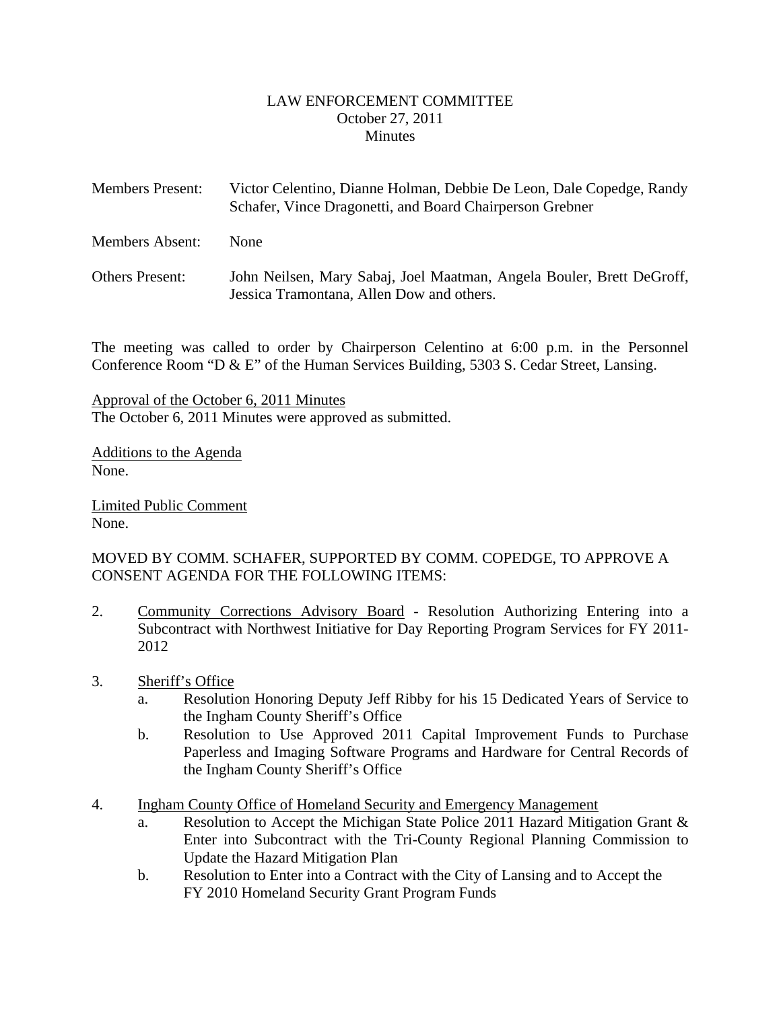#### LAW ENFORCEMENT COMMITTEE October 27, 2011 **Minutes**

<span id="page-1-0"></span>

| <b>Members Present:</b> | Victor Celentino, Dianne Holman, Debbie De Leon, Dale Copedge, Randy<br>Schafer, Vince Dragonetti, and Board Chairperson Grebner |
|-------------------------|----------------------------------------------------------------------------------------------------------------------------------|
| Members Absent:         | <b>None</b>                                                                                                                      |
| <b>Others Present:</b>  | John Neilsen, Mary Sabaj, Joel Maatman, Angela Bouler, Brett DeGroff,<br>Jessica Tramontana, Allen Dow and others.               |

The meeting was called to order by Chairperson Celentino at 6:00 p.m. in the Personnel Conference Room "D & E" of the Human Services Building, 5303 S. Cedar Street, Lansing.

Approval of the October 6, 2011 Minutes The October 6, 2011 Minutes were approved as submitted.

Additions to the Agenda None.

Limited Public Comment None.

#### MOVED BY COMM. SCHAFER, SUPPORTED BY COMM. COPEDGE, TO APPROVE A CONSENT AGENDA FOR THE FOLLOWING ITEMS:

- 2. Community Corrections Advisory Board Resolution Authorizing Entering into a Subcontract with Northwest Initiative for Day Reporting Program Services for FY 2011- 2012
- 3. Sheriff's Office
	- a. Resolution Honoring Deputy Jeff Ribby for his 15 Dedicated Years of Service to the Ingham County Sheriff's Office
	- b. Resolution to Use Approved 2011 Capital Improvement Funds to Purchase Paperless and Imaging Software Programs and Hardware for Central Records of the Ingham County Sheriff's Office
- 4. Ingham County Office of Homeland Security and Emergency Management
	- a. Resolution to Accept the Michigan State Police 2011 Hazard Mitigation Grant & Enter into Subcontract with the Tri-County Regional Planning Commission to Update the Hazard Mitigation Plan
	- b. Resolution to Enter into a Contract with the City of Lansing and to Accept the FY 2010 Homeland Security Grant Program Funds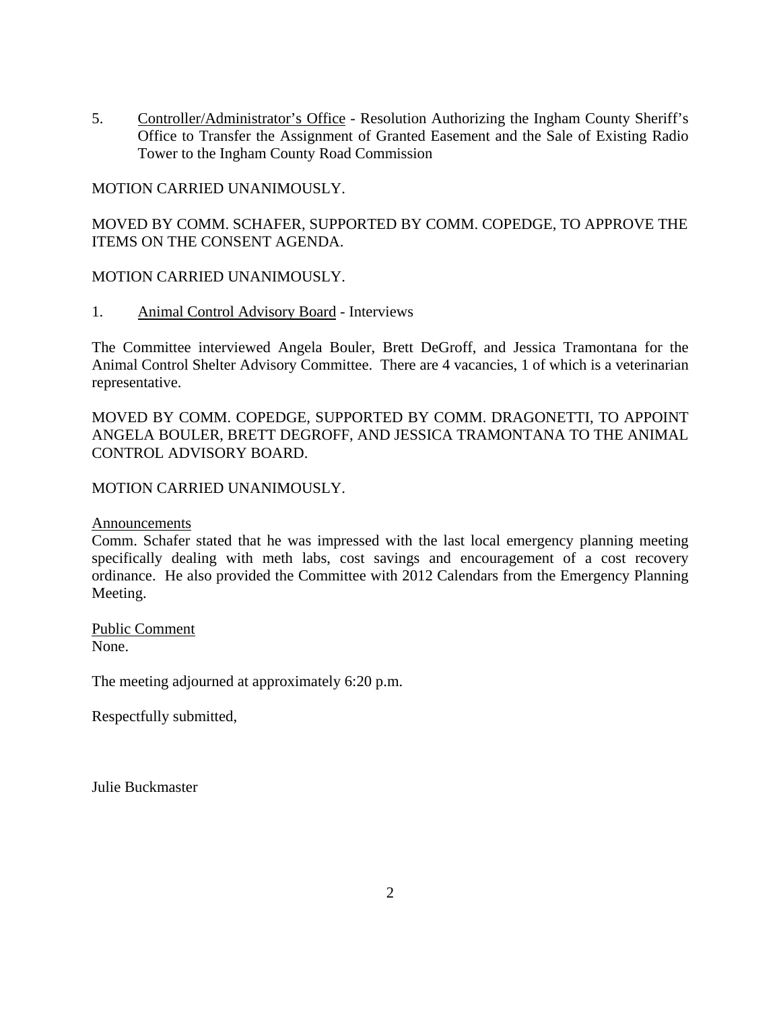5. Controller/Administrator's Office - Resolution Authorizing the Ingham County Sheriff's Office to Transfer the Assignment of Granted Easement and the Sale of Existing Radio Tower to the Ingham County Road Commission

#### MOTION CARRIED UNANIMOUSLY.

MOVED BY COMM. SCHAFER, SUPPORTED BY COMM. COPEDGE, TO APPROVE THE ITEMS ON THE CONSENT AGENDA.

#### MOTION CARRIED UNANIMOUSLY.

1. Animal Control Advisory Board - Interviews

The Committee interviewed Angela Bouler, Brett DeGroff, and Jessica Tramontana for the Animal Control Shelter Advisory Committee. There are 4 vacancies, 1 of which is a veterinarian representative.

MOVED BY COMM. COPEDGE, SUPPORTED BY COMM. DRAGONETTI, TO APPOINT ANGELA BOULER, BRETT DEGROFF, AND JESSICA TRAMONTANA TO THE ANIMAL CONTROL ADVISORY BOARD.

#### MOTION CARRIED UNANIMOUSLY.

Announcements

Comm. Schafer stated that he was impressed with the last local emergency planning meeting specifically dealing with meth labs, cost savings and encouragement of a cost recovery ordinance. He also provided the Committee with 2012 Calendars from the Emergency Planning Meeting.

Public Comment None.

The meeting adjourned at approximately 6:20 p.m.

Respectfully submitted,

Julie Buckmaster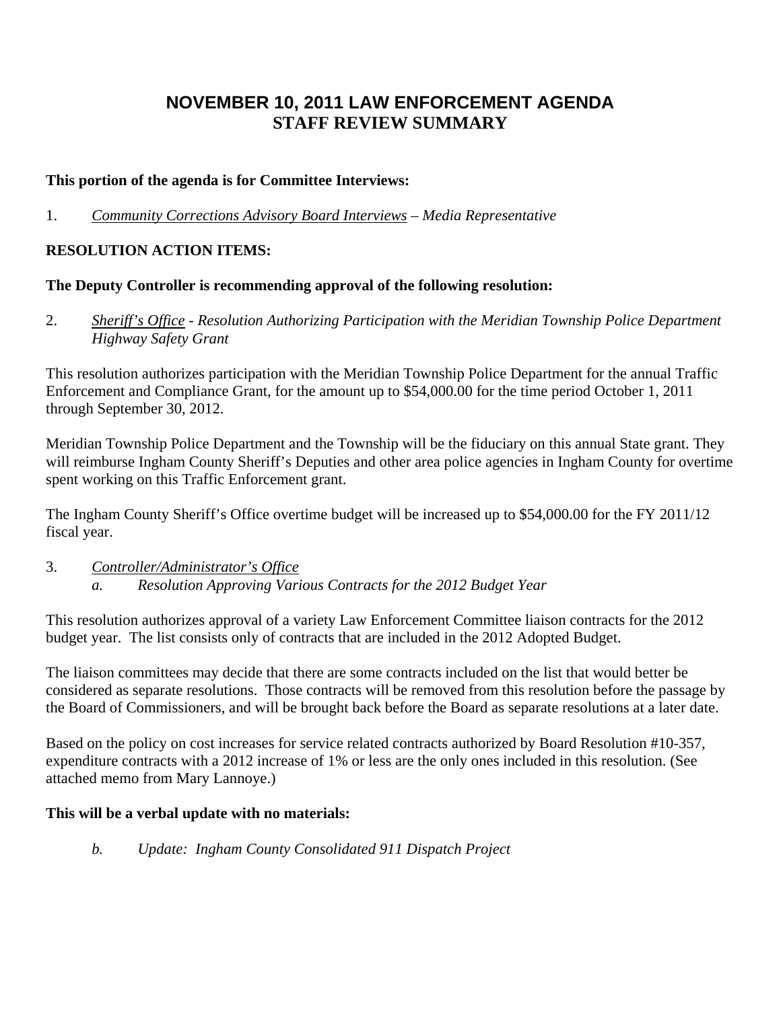## **NOVEMBER 10, 2011 LAW ENFORCEMENT AGENDA STAFF REVIEW SUMMARY**

#### **This portion of the agenda is for Committee Interviews:**

1. *Community Corrections Advisory Board Interviews – Media Representative* 

## **RESOLUTION ACTION ITEMS:**

#### **The Deputy Controller is recommending approval of the following resolution:**

2. *Sheriff's Office - Resolution Authorizing Participation with the Meridian Township Police Department Highway Safety Grant* 

This resolution authorizes participation with the Meridian Township Police Department for the annual Traffic Enforcement and Compliance Grant, for the amount up to \$54,000.00 for the time period October 1, 2011 through September 30, 2012.

Meridian Township Police Department and the Township will be the fiduciary on this annual State grant. They will reimburse Ingham County Sheriff's Deputies and other area police agencies in Ingham County for overtime spent working on this Traffic Enforcement grant.

The Ingham County Sheriff's Office overtime budget will be increased up to \$54,000.00 for the FY 2011/12 fiscal year.

3. *Controller/Administrator's Office a. Resolution Approving Various Contracts for the 2012 Budget Year* 

This resolution authorizes approval of a variety Law Enforcement Committee liaison contracts for the 2012 budget year. The list consists only of contracts that are included in the 2012 Adopted Budget.

The liaison committees may decide that there are some contracts included on the list that would better be considered as separate resolutions. Those contracts will be removed from this resolution before the passage by the Board of Commissioners, and will be brought back before the Board as separate resolutions at a later date.

Based on the policy on cost increases for service related contracts authorized by Board Resolution #10-357, expenditure contracts with a 2012 increase of 1% or less are the only ones included in this resolution. (See attached memo from Mary Lannoye.)

## **This will be a verbal update with no materials:**

*b. Update: Ingham County Consolidated 911 Dispatch Project*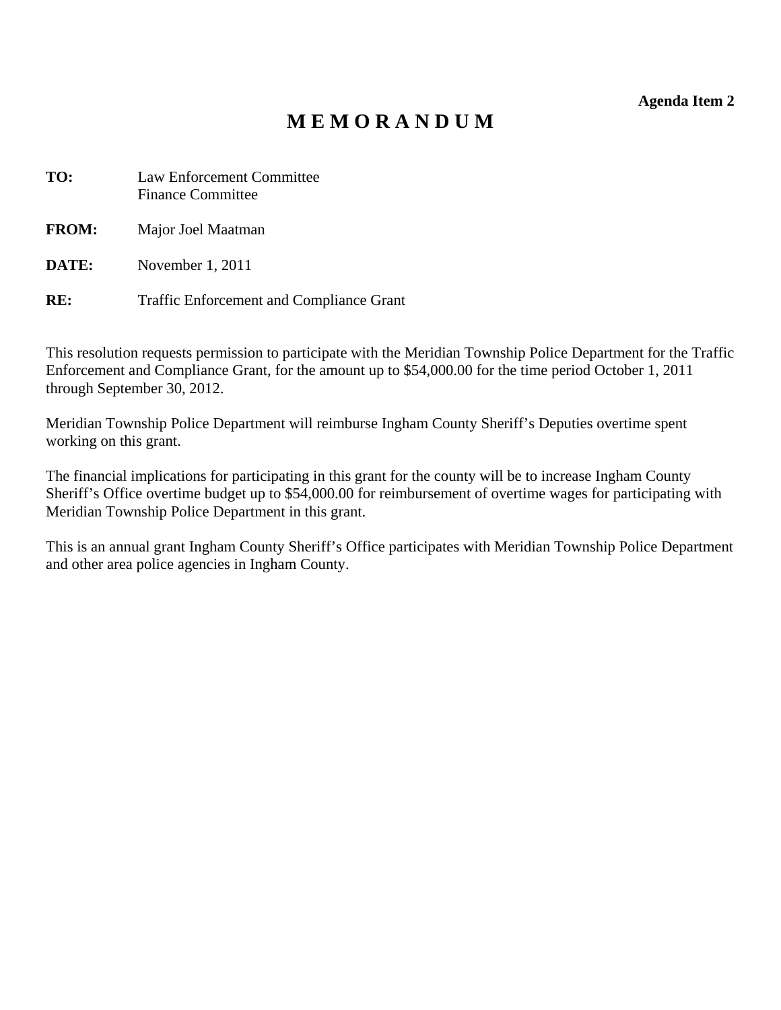**Agenda Item 2** 

# **M E M O R A N D U M**

<span id="page-4-0"></span>

| Law Enforcement Committee<br><b>Finance Committee</b> |
|-------------------------------------------------------|
| Major Joel Maatman                                    |
| November 1, 2011                                      |
|                                                       |

**RE:** Traffic Enforcement and Compliance Grant

This resolution requests permission to participate with the Meridian Township Police Department for the Traffic Enforcement and Compliance Grant, for the amount up to \$54,000.00 for the time period October 1, 2011 through September 30, 2012.

Meridian Township Police Department will reimburse Ingham County Sheriff's Deputies overtime spent working on this grant.

The financial implications for participating in this grant for the county will be to increase Ingham County Sheriff's Office overtime budget up to \$54,000.00 for reimbursement of overtime wages for participating with Meridian Township Police Department in this grant.

This is an annual grant Ingham County Sheriff's Office participates with Meridian Township Police Department and other area police agencies in Ingham County.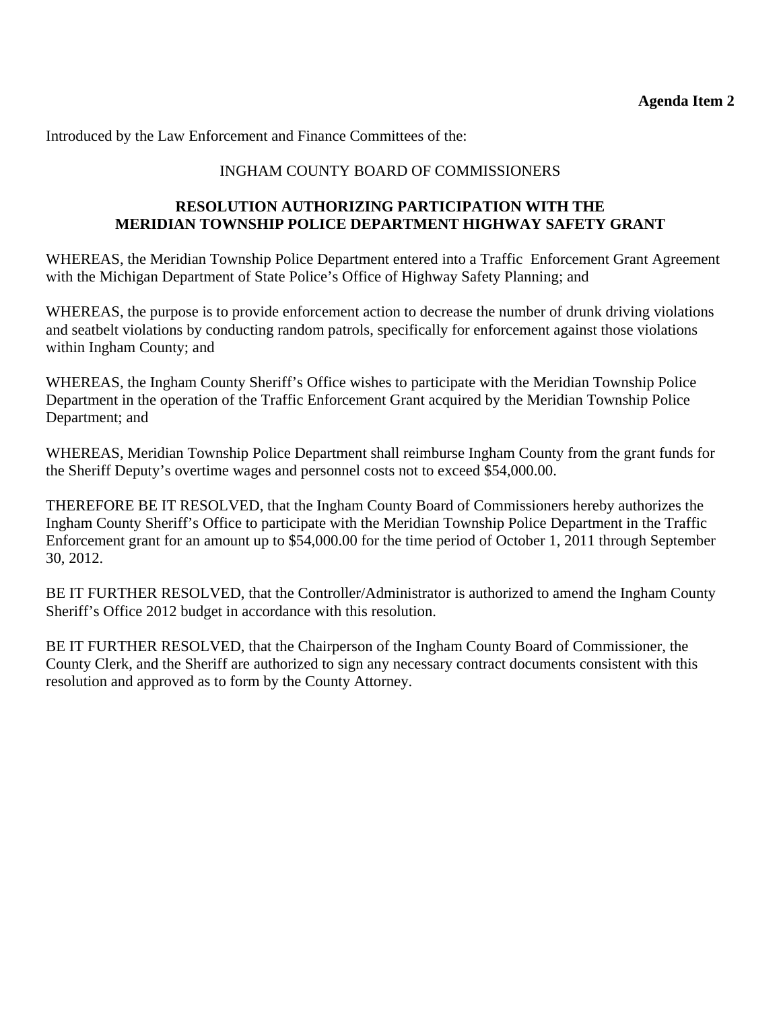Introduced by the Law Enforcement and Finance Committees of the:

#### INGHAM COUNTY BOARD OF COMMISSIONERS

#### **RESOLUTION AUTHORIZING PARTICIPATION WITH THE MERIDIAN TOWNSHIP POLICE DEPARTMENT HIGHWAY SAFETY GRANT**

WHEREAS, the Meridian Township Police Department entered into a Traffic Enforcement Grant Agreement with the Michigan Department of State Police's Office of Highway Safety Planning; and

WHEREAS, the purpose is to provide enforcement action to decrease the number of drunk driving violations and seatbelt violations by conducting random patrols, specifically for enforcement against those violations within Ingham County; and

WHEREAS, the Ingham County Sheriff's Office wishes to participate with the Meridian Township Police Department in the operation of the Traffic Enforcement Grant acquired by the Meridian Township Police Department; and

WHEREAS, Meridian Township Police Department shall reimburse Ingham County from the grant funds for the Sheriff Deputy's overtime wages and personnel costs not to exceed \$54,000.00.

THEREFORE BE IT RESOLVED, that the Ingham County Board of Commissioners hereby authorizes the Ingham County Sheriff's Office to participate with the Meridian Township Police Department in the Traffic Enforcement grant for an amount up to \$54,000.00 for the time period of October 1, 2011 through September 30, 2012.

BE IT FURTHER RESOLVED, that the Controller/Administrator is authorized to amend the Ingham County Sheriff's Office 2012 budget in accordance with this resolution.

BE IT FURTHER RESOLVED, that the Chairperson of the Ingham County Board of Commissioner, the County Clerk, and the Sheriff are authorized to sign any necessary contract documents consistent with this resolution and approved as to form by the County Attorney.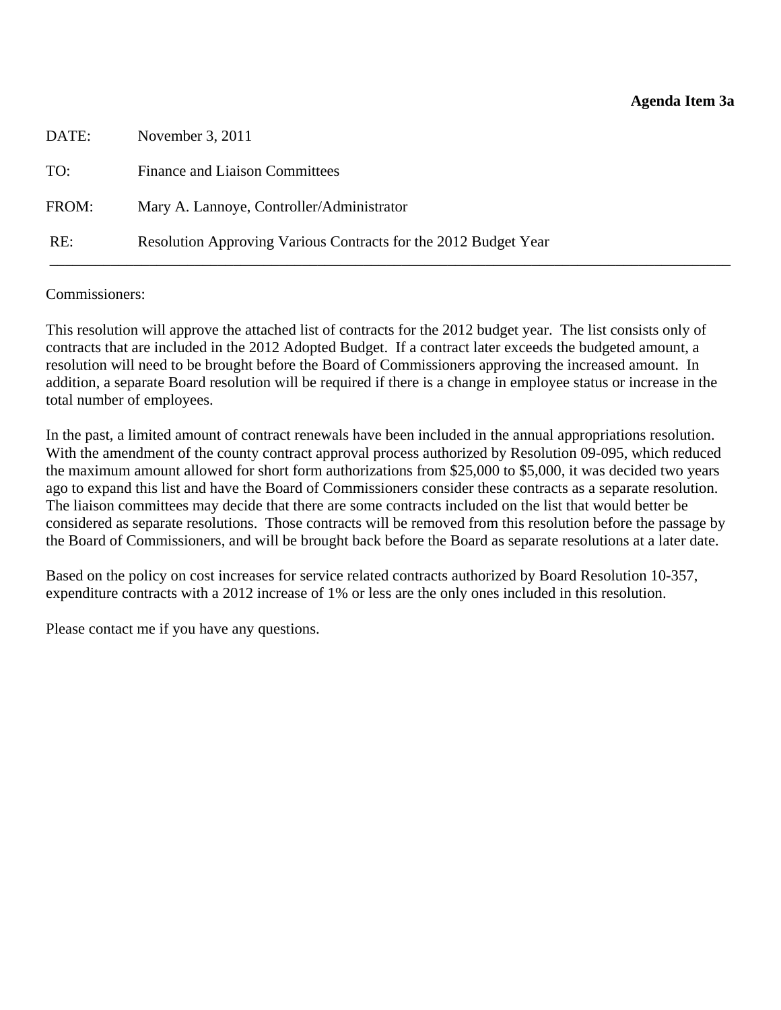<span id="page-6-0"></span>

| DATE: | November 3, 2011                                                |
|-------|-----------------------------------------------------------------|
| TO:   | <b>Finance and Liaison Committees</b>                           |
| FROM: | Mary A. Lannoye, Controller/Administrator                       |
| RE:   | Resolution Approving Various Contracts for the 2012 Budget Year |

#### Commissioners:

This resolution will approve the attached list of contracts for the 2012 budget year. The list consists only of contracts that are included in the 2012 Adopted Budget. If a contract later exceeds the budgeted amount, a resolution will need to be brought before the Board of Commissioners approving the increased amount. In addition, a separate Board resolution will be required if there is a change in employee status or increase in the total number of employees.

In the past, a limited amount of contract renewals have been included in the annual appropriations resolution. With the amendment of the county contract approval process authorized by Resolution 09-095, which reduced the maximum amount allowed for short form authorizations from \$25,000 to \$5,000, it was decided two years ago to expand this list and have the Board of Commissioners consider these contracts as a separate resolution. The liaison committees may decide that there are some contracts included on the list that would better be considered as separate resolutions. Those contracts will be removed from this resolution before the passage by the Board of Commissioners, and will be brought back before the Board as separate resolutions at a later date.

Based on the policy on cost increases for service related contracts authorized by Board Resolution 10-357, expenditure contracts with a 2012 increase of 1% or less are the only ones included in this resolution.

Please contact me if you have any questions.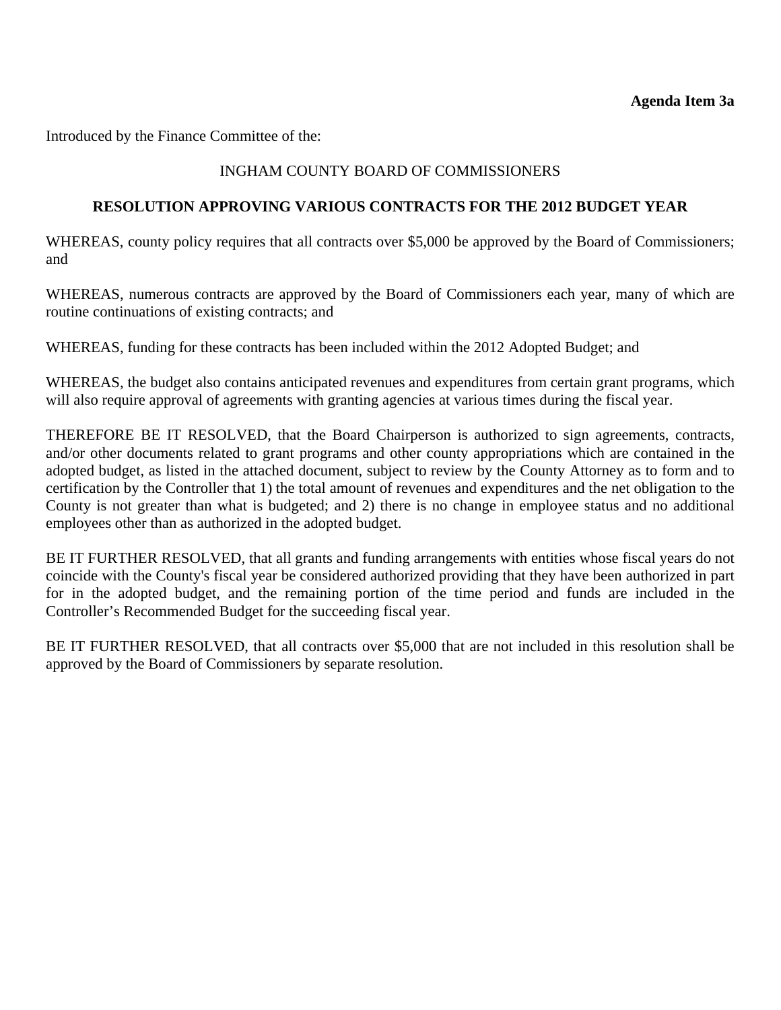Introduced by the Finance Committee of the:

#### INGHAM COUNTY BOARD OF COMMISSIONERS

#### **RESOLUTION APPROVING VARIOUS CONTRACTS FOR THE 2012 BUDGET YEAR**

WHEREAS, county policy requires that all contracts over \$5,000 be approved by the Board of Commissioners; and

WHEREAS, numerous contracts are approved by the Board of Commissioners each year, many of which are routine continuations of existing contracts; and

WHEREAS, funding for these contracts has been included within the 2012 Adopted Budget; and

WHEREAS, the budget also contains anticipated revenues and expenditures from certain grant programs, which will also require approval of agreements with granting agencies at various times during the fiscal year.

THEREFORE BE IT RESOLVED, that the Board Chairperson is authorized to sign agreements, contracts, and/or other documents related to grant programs and other county appropriations which are contained in the adopted budget, as listed in the attached document, subject to review by the County Attorney as to form and to certification by the Controller that 1) the total amount of revenues and expenditures and the net obligation to the County is not greater than what is budgeted; and 2) there is no change in employee status and no additional employees other than as authorized in the adopted budget.

BE IT FURTHER RESOLVED, that all grants and funding arrangements with entities whose fiscal years do not coincide with the County's fiscal year be considered authorized providing that they have been authorized in part for in the adopted budget, and the remaining portion of the time period and funds are included in the Controller's Recommended Budget for the succeeding fiscal year.

BE IT FURTHER RESOLVED, that all contracts over \$5,000 that are not included in this resolution shall be approved by the Board of Commissioners by separate resolution.